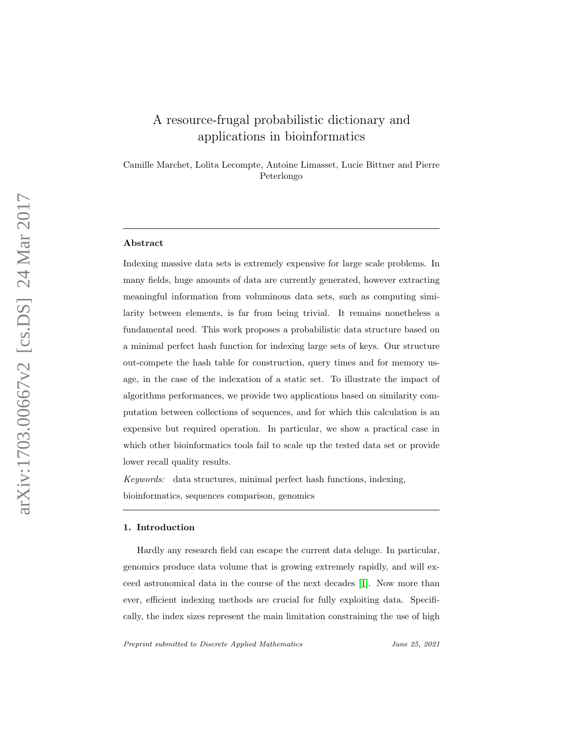# A resource-frugal probabilistic dictionary and applications in bioinformatics

Camille Marchet, Lolita Lecompte, Antoine Limasset, Lucie Bittner and Pierre Peterlongo

#### Abstract

Indexing massive data sets is extremely expensive for large scale problems. In many fields, huge amounts of data are currently generated, however extracting meaningful information from voluminous data sets, such as computing similarity between elements, is far from being trivial. It remains nonetheless a fundamental need. This work proposes a probabilistic data structure based on a minimal perfect hash function for indexing large sets of keys. Our structure out-compete the hash table for construction, query times and for memory usage, in the case of the indexation of a static set. To illustrate the impact of algorithms performances, we provide two applications based on similarity computation between collections of sequences, and for which this calculation is an expensive but required operation. In particular, we show a practical case in which other bioinformatics tools fail to scale up the tested data set or provide lower recall quality results.

Keywords: data structures, minimal perfect hash functions, indexing, bioinformatics, sequences comparison, genomics

#### 1. Introduction

Hardly any research field can escape the current data deluge. In particular, genomics produce data volume that is growing extremely rapidly, and will exceed astronomical data in the course of the next decades [\[1\]](#page-21-0). Now more than ever, efficient indexing methods are crucial for fully exploiting data. Specifically, the index sizes represent the main limitation constraining the use of high

Preprint submitted to Discrete Applied Mathematics June 25, 2021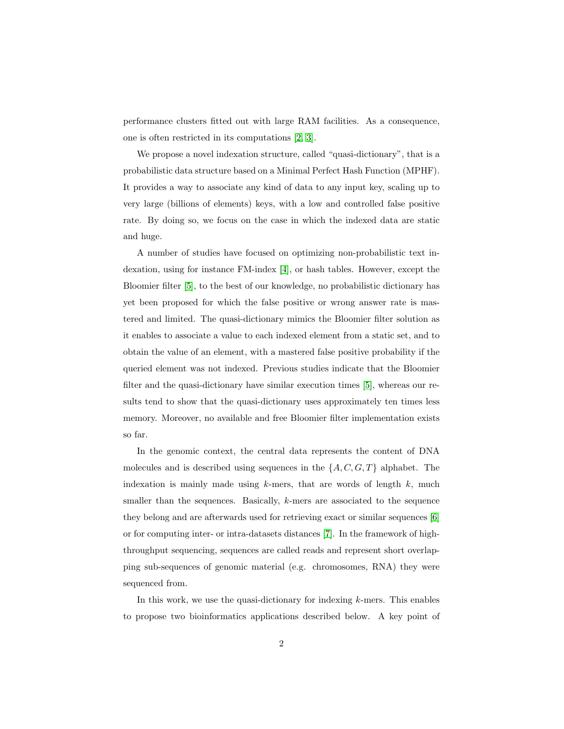performance clusters fitted out with large RAM facilities. As a consequence, one is often restricted in its computations [\[2,](#page-22-0) [3\]](#page-22-1).

We propose a novel indexation structure, called "quasi-dictionary", that is a probabilistic data structure based on a Minimal Perfect Hash Function (MPHF). It provides a way to associate any kind of data to any input key, scaling up to very large (billions of elements) keys, with a low and controlled false positive rate. By doing so, we focus on the case in which the indexed data are static and huge.

A number of studies have focused on optimizing non-probabilistic text indexation, using for instance FM-index [\[4\]](#page-22-2), or hash tables. However, except the Bloomier filter [\[5\]](#page-22-3), to the best of our knowledge, no probabilistic dictionary has yet been proposed for which the false positive or wrong answer rate is mastered and limited. The quasi-dictionary mimics the Bloomier filter solution as it enables to associate a value to each indexed element from a static set, and to obtain the value of an element, with a mastered false positive probability if the queried element was not indexed. Previous studies indicate that the Bloomier filter and the quasi-dictionary have similar execution times [\[5\]](#page-22-3), whereas our results tend to show that the quasi-dictionary uses approximately ten times less memory. Moreover, no available and free Bloomier filter implementation exists so far.

In the genomic context, the central data represents the content of DNA molecules and is described using sequences in the  $\{A, C, G, T\}$  alphabet. The indexation is mainly made using  $k$ -mers, that are words of length  $k$ , much smaller than the sequences. Basically, k-mers are associated to the sequence they belong and are afterwards used for retrieving exact or similar sequences [\[6\]](#page-22-4) or for computing inter- or intra-datasets distances [\[7\]](#page-22-5). In the framework of highthroughput sequencing, sequences are called reads and represent short overlapping sub-sequences of genomic material (e.g. chromosomes, RNA) they were sequenced from.

In this work, we use the quasi-dictionary for indexing  $k$ -mers. This enables to propose two bioinformatics applications described below. A key point of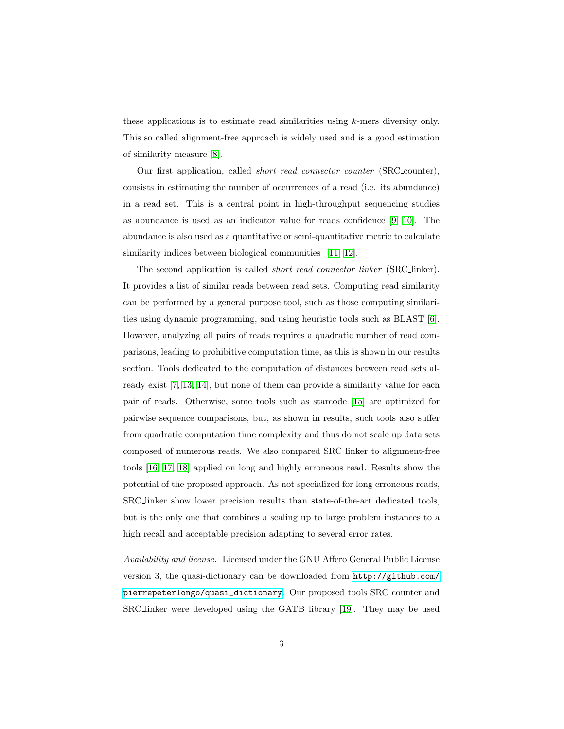these applications is to estimate read similarities using k-mers diversity only. This so called alignment-free approach is widely used and is a good estimation of similarity measure [\[8\]](#page-22-6).

Our first application, called short read connector counter (SRC counter), consists in estimating the number of occurrences of a read (i.e. its abundance) in a read set. This is a central point in high-throughput sequencing studies as abundance is used as an indicator value for reads confidence [\[9,](#page-23-0) [10\]](#page-23-1). The abundance is also used as a quantitative or semi-quantitative metric to calculate similarity indices between biological communities [\[11,](#page-23-2) [12\]](#page-23-3).

The second application is called short read connector linker (SRC linker). It provides a list of similar reads between read sets. Computing read similarity can be performed by a general purpose tool, such as those computing similarities using dynamic programming, and using heuristic tools such as BLAST [\[6\]](#page-22-4). However, analyzing all pairs of reads requires a quadratic number of read comparisons, leading to prohibitive computation time, as this is shown in our results section. Tools dedicated to the computation of distances between read sets already exist [\[7,](#page-22-5) [13,](#page-23-4) [14\]](#page-23-5), but none of them can provide a similarity value for each pair of reads. Otherwise, some tools such as starcode [\[15\]](#page-23-6) are optimized for pairwise sequence comparisons, but, as shown in results, such tools also suffer from quadratic computation time complexity and thus do not scale up data sets composed of numerous reads. We also compared SRC linker to alignment-free tools [\[16,](#page-24-0) [17,](#page-24-1) [18\]](#page-24-2) applied on long and highly erroneous read. Results show the potential of the proposed approach. As not specialized for long erroneous reads, SRC linker show lower precision results than state-of-the-art dedicated tools, but is the only one that combines a scaling up to large problem instances to a high recall and acceptable precision adapting to several error rates.

Availability and license. Licensed under the GNU Affero General Public License version 3, the quasi-dictionary can be downloaded from [http://github.com/](http://github.com/pierrepeterlongo/quasi_dictionary) [pierrepeterlongo/quasi\\_dictionary](http://github.com/pierrepeterlongo/quasi_dictionary). Our proposed tools SRC counter and SRC linker were developed using the GATB library [\[19\]](#page-24-3). They may be used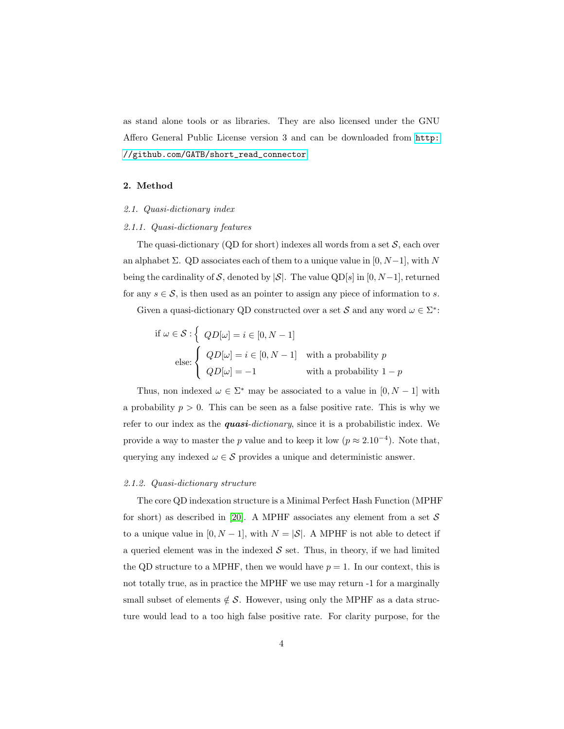as stand alone tools or as libraries. They are also licensed under the GNU Affero General Public License version 3 and can be downloaded from [http:](http://github.com/GATB/short_read_connector) [//github.com/GATB/short\\_read\\_connector](http://github.com/GATB/short_read_connector).

## 2. Method

## 2.1. Quasi-dictionary index

# <span id="page-3-0"></span>2.1.1. Quasi-dictionary features

The quasi-dictionary (QD for short) indexes all words from a set  $S$ , each over an alphabet  $\Sigma$ . QD associates each of them to a unique value in [0, N−1], with N being the cardinality of S, denoted by  $|S|$ . The value QD[s] in [0, N-1], returned for any  $s \in \mathcal{S}$ , is then used as an pointer to assign any piece of information to s.

Given a quasi-dictionary QD constructed over a set S and any word  $\omega \in \Sigma^*$ :

if 
$$
\omega \in \mathcal{S} : \left\{ QD[\omega] = i \in [0, N-1] \right\}
$$
  
\nelse: 
$$
\left\{ \begin{array}{ll} QD[\omega] = i \in [0, N-1] & \text{with a probability } p \\ QD[\omega] = -1 & \text{with a probability } 1-p \end{array} \right.
$$

Thus, non indexed  $\omega \in \Sigma^*$  may be associated to a value in  $[0, N-1]$  with a probability  $p > 0$ . This can be seen as a false positive rate. This is why we refer to our index as the **quasi**-dictionary, since it is a probabilistic index. We provide a way to master the p value and to keep it low  $(p \approx 2.10^{-4})$ . Note that, querying any indexed  $\omega \in \mathcal{S}$  provides a unique and deterministic answer.

#### 2.1.2. Quasi-dictionary structure

The core QD indexation structure is a Minimal Perfect Hash Function (MPHF for short) as described in [\[20\]](#page-24-4). A MPHF associates any element from a set  $S$ to a unique value in [0, N – 1], with  $N = |\mathcal{S}|$ . A MPHF is not able to detect if a queried element was in the indexed  $S$  set. Thus, in theory, if we had limited the QD structure to a MPHF, then we would have  $p = 1$ . In our context, this is not totally true, as in practice the MPHF we use may return -1 for a marginally small subset of elements  $\notin \mathcal{S}$ . However, using only the MPHF as a data structure would lead to a too high false positive rate. For clarity purpose, for the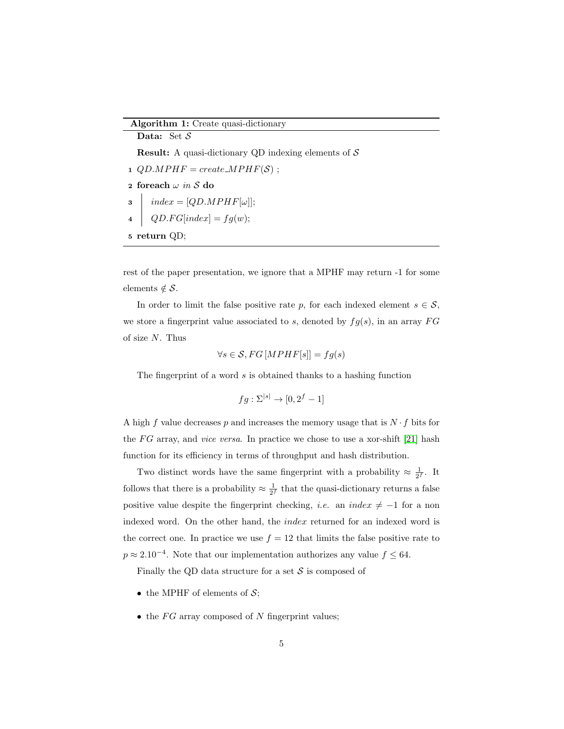#### Algorithm 1: Create quasi-dictionary

<span id="page-4-2"></span><span id="page-4-1"></span>Data: Set  $S$ **Result:** A quasi-dictionary QD indexing elements of  $S$ 1  $QD.MPHF = create.MPHF(S)$ ; 2 for<br>each  $\omega$  in  ${\mathcal S}$  do  $3$  | index = [QD.MPHF[ $\omega$ ]; 4 |  $QD.FG[index] = fg(w);$ 5 return QD;

<span id="page-4-0"></span>rest of the paper presentation, we ignore that a MPHF may return -1 for some elements  $\notin \mathcal{S}$ .

In order to limit the false positive rate p, for each indexed element  $s \in \mathcal{S}$ , we store a fingerprint value associated to s, denoted by  $fg(s)$ , in an array  $FG$ of size N. Thus

$$
\forall s \in \mathcal{S}, FG \, [MPHF[s]] = fg(s)
$$

The fingerprint of a word  $s$  is obtained thanks to a hashing function

$$
fg: \Sigma^{[s]} \to [0, 2^f - 1]
$$

A high f value decreases p and increases the memory usage that is  $N \cdot f$  bits for the FG array, and *vice versa*. In practice we chose to use a xor-shift [\[21\]](#page-24-5) hash function for its efficiency in terms of throughput and hash distribution.

Two distinct words have the same fingerprint with a probability  $\approx \frac{1}{2^f}$ . It follows that there is a probability  $\approx \frac{1}{2^f}$  that the quasi-dictionary returns a false positive value despite the fingerprint checking, *i.e.* an index  $\neq -1$  for a non indexed word. On the other hand, the index returned for an indexed word is the correct one. In practice we use  $f = 12$  that limits the false positive rate to  $p \approx 2.10^{-4}$ . Note that our implementation authorizes any value  $f \leq 64$ .

Finally the QD data structure for a set  $S$  is composed of

- the MPHF of elements of  $S$ ;
- $\bullet$  the FG array composed of N fingerprint values;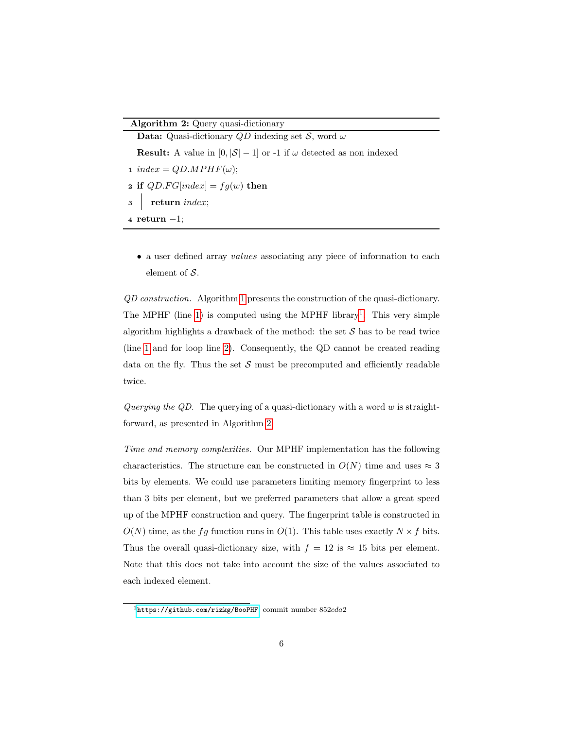## Algorithm 2: Query quasi-dictionary

Data: Quasi-dictionary  $QD$  indexing set S, word  $\omega$ **Result:** A value in  $[0, |\mathcal{S}| - 1]$  or -1 if  $\omega$  detected as non indexed 1 index =  $QD.MPHF(\omega);$ 2 if  $QD.FG[index] = fg(w)$  then 3 return index; <sup>4</sup> return −1;

<span id="page-5-1"></span>• a user defined array values associating any piece of information to each element of  $S$ .

QD construction. Algorithm [1](#page-4-0) presents the construction of the quasi-dictionary. The MPHF (line  $1$ ) is computed using the MPHF library<sup>1</sup>. This very simple algorithm highlights a drawback of the method: the set  $S$  has to be read twice (line [1](#page-4-1) and for loop line [2\)](#page-4-2). Consequently, the QD cannot be created reading data on the fly. Thus the set  $S$  must be precomputed and efficiently readable twice.

Querying the QD. The querying of a quasi-dictionary with a word  $w$  is straightforward, as presented in Algorithm [2.](#page-5-1)

Time and memory complexities. Our MPHF implementation has the following characteristics. The structure can be constructed in  $O(N)$  time and uses  $\approx 3$ bits by elements. We could use parameters limiting memory fingerprint to less than 3 bits per element, but we preferred parameters that allow a great speed up of the MPHF construction and query. The fingerprint table is constructed in  $O(N)$  time, as the fg function runs in  $O(1)$ . This table uses exactly  $N \times f$  bits. Thus the overall quasi-dictionary size, with  $f = 12$  is  $\approx 15$  bits per element. Note that this does not take into account the size of the values associated to each indexed element.

<span id="page-5-0"></span> $1$ <https://github.com/rizkg/BooPHF>, commit number 852cda2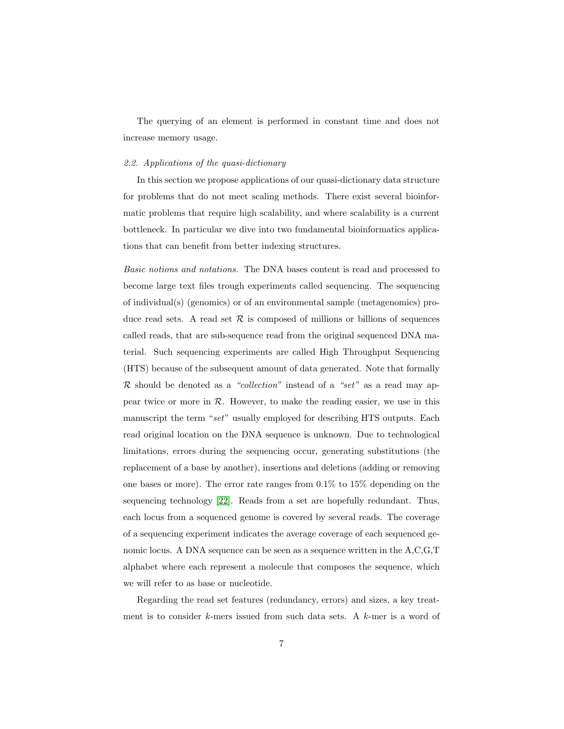The querying of an element is performed in constant time and does not increase memory usage.

## 2.2. Applications of the quasi-dictionary

In this section we propose applications of our quasi-dictionary data structure for problems that do not meet scaling methods. There exist several bioinformatic problems that require high scalability, and where scalability is a current bottleneck. In particular we dive into two fundamental bioinformatics applications that can benefit from better indexing structures.

Basic notions and notations. The DNA bases content is read and processed to become large text files trough experiments called sequencing. The sequencing of individual(s) (genomics) or of an environmental sample (metagenomics) produce read sets. A read set  $R$  is composed of millions or billions of sequences called reads, that are sub-sequence read from the original sequenced DNA material. Such sequencing experiments are called High Throughput Sequencing (HTS) because of the subsequent amount of data generated. Note that formally  $\mathcal R$  should be denoted as a "collection" instead of a "set" as a read may appear twice or more in  $R$ . However, to make the reading easier, we use in this manuscript the term "set" usually employed for describing HTS outputs. Each read original location on the DNA sequence is unknown. Due to technological limitations, errors during the sequencing occur, generating substitutions (the replacement of a base by another), insertions and deletions (adding or removing one bases or more). The error rate ranges from 0.1% to 15% depending on the sequencing technology [\[22\]](#page-24-6). Reads from a set are hopefully redundant. Thus, each locus from a sequenced genome is covered by several reads. The coverage of a sequencing experiment indicates the average coverage of each sequenced genomic locus. A DNA sequence can be seen as a sequence written in the A,C,G,T alphabet where each represent a molecule that composes the sequence, which we will refer to as base or nucleotide.

Regarding the read set features (redundancy, errors) and sizes, a key treatment is to consider k-mers issued from such data sets. A  $k$ -mer is a word of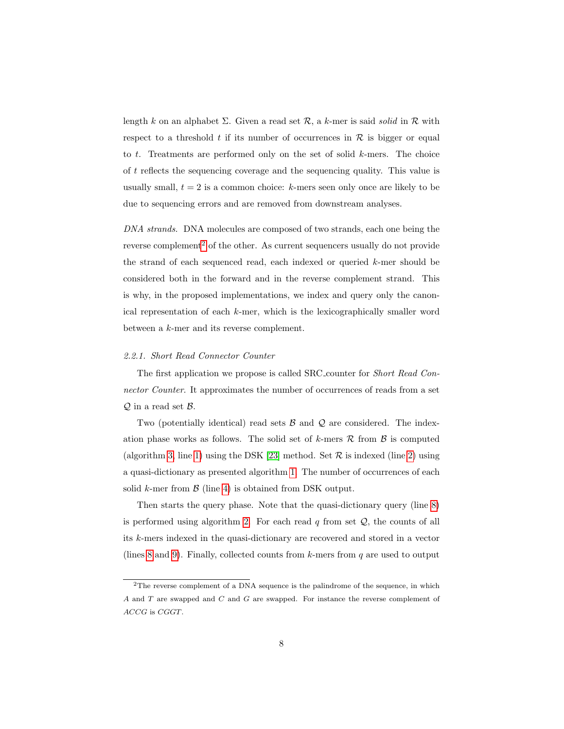length k on an alphabet  $\Sigma$ . Given a read set  $\mathcal{R}$ , a k-mer is said solid in  $\mathcal{R}$  with respect to a threshold t if its number of occurrences in  $R$  is bigger or equal to  $t$ . Treatments are performed only on the set of solid  $k$ -mers. The choice of t reflects the sequencing coverage and the sequencing quality. This value is usually small,  $t = 2$  is a common choice: k-mers seen only once are likely to be due to sequencing errors and are removed from downstream analyses.

DNA strands. DNA molecules are composed of two strands, each one being the reverse complement<sup>[2](#page-7-0)</sup> of the other. As current sequencers usually do not provide the strand of each sequenced read, each indexed or queried  $k$ -mer should be considered both in the forward and in the reverse complement strand. This is why, in the proposed implementations, we index and query only the canonical representation of each k-mer, which is the lexicographically smaller word between a k-mer and its reverse complement.

#### 2.2.1. Short Read Connector Counter

The first application we propose is called SRC counter for Short Read Connector Counter. It approximates the number of occurrences of reads from a set  $Q$  in a read set  $B$ .

Two (potentially identical) read sets  $\beta$  and  $\mathcal Q$  are considered. The indexation phase works as follows. The solid set of k-mers  $\mathcal R$  from  $\mathcal B$  is computed (algorithm [3,](#page-8-0) line [1\)](#page-8-1) using the DSK [\[23\]](#page-24-7) method. Set  $R$  is indexed (line [2\)](#page-8-2) using a quasi-dictionary as presented algorithm [1.](#page-4-0) The number of occurrences of each solid k-mer from  $\beta$  (line [4\)](#page-8-3) is obtained from DSK output.

Then starts the query phase. Note that the quasi-dictionary query (line [8\)](#page-8-4) is performed using algorithm [2.](#page-5-1) For each read  $q$  from set  $Q$ , the counts of all its k-mers indexed in the quasi-dictionary are recovered and stored in a vector (lines [8](#page-8-4) and [9\)](#page-8-5). Finally, collected counts from  $k$ -mers from  $q$  are used to output

<span id="page-7-0"></span><sup>&</sup>lt;sup>2</sup>The reverse complement of a DNA sequence is the palindrome of the sequence, in which A and T are swapped and C and G are swapped. For instance the reverse complement of ACCG is CGGT.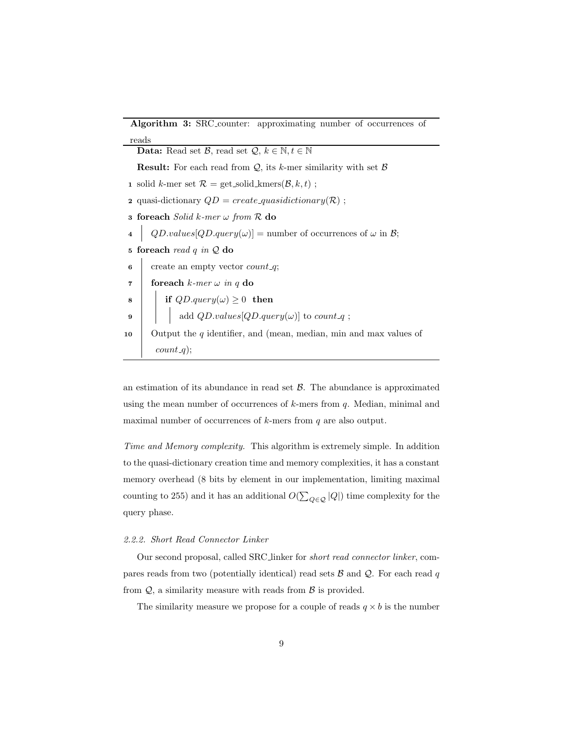<span id="page-8-3"></span><span id="page-8-2"></span><span id="page-8-1"></span>

| <b>Algorithm 3:</b> SRC_counter: approximating number of occurrences of                          |  |  |  |  |
|--------------------------------------------------------------------------------------------------|--|--|--|--|
| reads                                                                                            |  |  |  |  |
| <b>Data:</b> Read set $\mathcal{B}$ , read set $\mathcal{Q}, k \in \mathbb{N}, t \in \mathbb{N}$ |  |  |  |  |
| <b>Result:</b> For each read from $Q$ , its k-mer similarity with set $B$                        |  |  |  |  |
| 1 solid k-mer set $\mathcal{R} =$ get_solid_kmers( $\mathcal{B}, k, t$ );                        |  |  |  |  |
| <b>2</b> quasi-dictionary $QD = create\_quasidictionary(R)$ ;                                    |  |  |  |  |
| <b>3 foreach</b> Solid k-mer $\omega$ from $\mathcal{R}$ do                                      |  |  |  |  |
| $QD.values[QD.query(\omega)] =$ number of occurrences of $\omega$ in $\mathcal{B}$ ;             |  |  |  |  |
| 5 foreach read q in $Q$ do                                                                       |  |  |  |  |
| create an empty vector $count_{-}q$ ;<br>6                                                       |  |  |  |  |
| foreach $k$ -mer $\omega$ in q do<br>7                                                           |  |  |  |  |
| 8                                                                                                |  |  |  |  |
| if $QD.query(\omega) \ge 0$ then<br>  add $QD.values[QD.query(\omega)]$ to <i>count_q</i> ;<br>9 |  |  |  |  |
| Output the $q$ identifier, and (mean, median, min and max values of<br>10                        |  |  |  |  |
| $count_q$ ;                                                                                      |  |  |  |  |

<span id="page-8-5"></span><span id="page-8-4"></span><span id="page-8-0"></span>an estimation of its abundance in read set  $\beta$ . The abundance is approximated using the mean number of occurrences of  $k$ -mers from  $q$ . Median, minimal and maximal number of occurrences of  $k$ -mers from  $q$  are also output.

Time and Memory complexity. This algorithm is extremely simple. In addition to the quasi-dictionary creation time and memory complexities, it has a constant memory overhead (8 bits by element in our implementation, limiting maximal counting to 255) and it has an additional  $O(\sum_{Q \in \mathcal{Q}} |Q|)$  time complexity for the query phase.

#### 2.2.2. Short Read Connector Linker

Our second proposal, called SRC linker for short read connector linker, compares reads from two (potentially identical) read sets  $\beta$  and  $\mathcal{Q}$ . For each read q from  $Q$ , a similarity measure with reads from  $\beta$  is provided.

The similarity measure we propose for a couple of reads  $q \times b$  is the number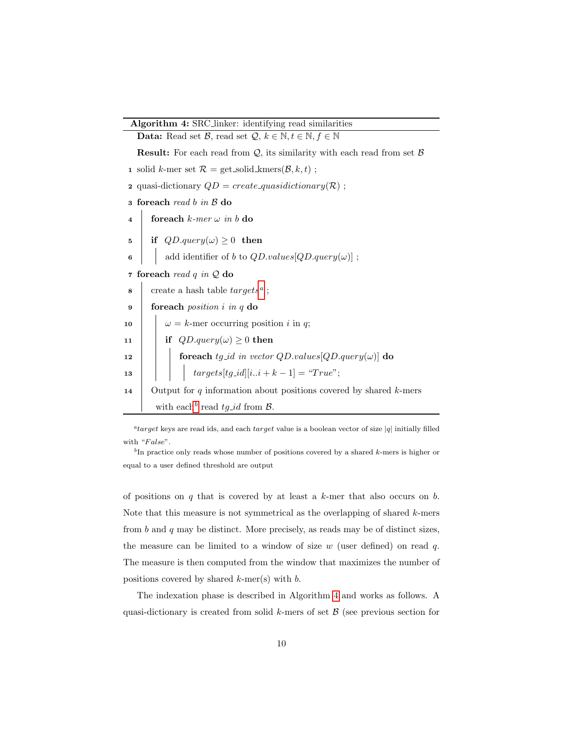Algorithm 4: SRC linker: identifying read similarities

<span id="page-9-8"></span><span id="page-9-7"></span><span id="page-9-6"></span><span id="page-9-5"></span><span id="page-9-4"></span><span id="page-9-3"></span>

|                                                          | <b>Data:</b> Read set $\mathcal{B}$ , read set $\mathcal{Q}, k \in \mathbb{N}, t \in \mathbb{N}, \overline{f} \in \mathbb{N}$ |  |  |  |  |
|----------------------------------------------------------|-------------------------------------------------------------------------------------------------------------------------------|--|--|--|--|
|                                                          | <b>Result:</b> For each read from $Q$ , its similarity with each read from set $\beta$                                        |  |  |  |  |
|                                                          | 1 solid k-mer set $\mathcal{R} = \text{get\_solid\_kmers}(\mathcal{B}, k, t)$ ;                                               |  |  |  |  |
|                                                          | <b>2</b> quasi-dictionary $QD = create\_quasidictionary(R)$ ;                                                                 |  |  |  |  |
|                                                          | a foreach read b in B do                                                                                                      |  |  |  |  |
| $\overline{\bf 4}$                                       | foreach $k$ -mer $\omega$ in b do                                                                                             |  |  |  |  |
| 5                                                        | if $QD.query(\omega) \geq 0$ then                                                                                             |  |  |  |  |
| 6                                                        | add identifier of b to $QD.values[QD.query(\omega)]$ ;                                                                        |  |  |  |  |
| $\overline{\mathbf{r}}$                                  | foreach read $q$ in $Q$ do                                                                                                    |  |  |  |  |
| 8                                                        | create a hash table $targetsa$ ;                                                                                              |  |  |  |  |
| 9                                                        | for each <i>position</i> $i$ in $q$ do                                                                                        |  |  |  |  |
| 10                                                       | $\omega = k$ -mer occurring position <i>i</i> in <i>q</i> ;                                                                   |  |  |  |  |
| 11                                                       | if $QD.query(\omega) \geq 0$ then                                                                                             |  |  |  |  |
| 12                                                       | foreach $tg\_id$ in vector $QD.values[QD.query(\omega)]$ do                                                                   |  |  |  |  |
| 13                                                       | $targets[tg_id][ii+k-1] = "True";$                                                                                            |  |  |  |  |
| 14                                                       | Output for $q$ information about positions covered by shared $k$ -mers                                                        |  |  |  |  |
| with each <sup>b</sup> read $tg_id$ from $\mathcal{B}$ . |                                                                                                                               |  |  |  |  |

<span id="page-9-9"></span><span id="page-9-2"></span><span id="page-9-0"></span><sup>a</sup>target keys are read ids, and each target value is a boolean vector of size |q| initially filled with " $False$ ".

<span id="page-9-1"></span> ${}^b$ In practice only reads whose number of positions covered by a shared k-mers is higher or equal to a user defined threshold are output

of positions on  $q$  that is covered by at least a  $k$ -mer that also occurs on  $b$ . Note that this measure is not symmetrical as the overlapping of shared  $k$ -mers from  $b$  and  $q$  may be distinct. More precisely, as reads may be of distinct sizes, the measure can be limited to a window of size  $w$  (user defined) on read  $q$ . The measure is then computed from the window that maximizes the number of positions covered by shared  $k$ -mer(s) with  $b$ .

The indexation phase is described in Algorithm [4](#page-9-2) and works as follows. A quasi-dictionary is created from solid  $k$ -mers of set  $\beta$  (see previous section for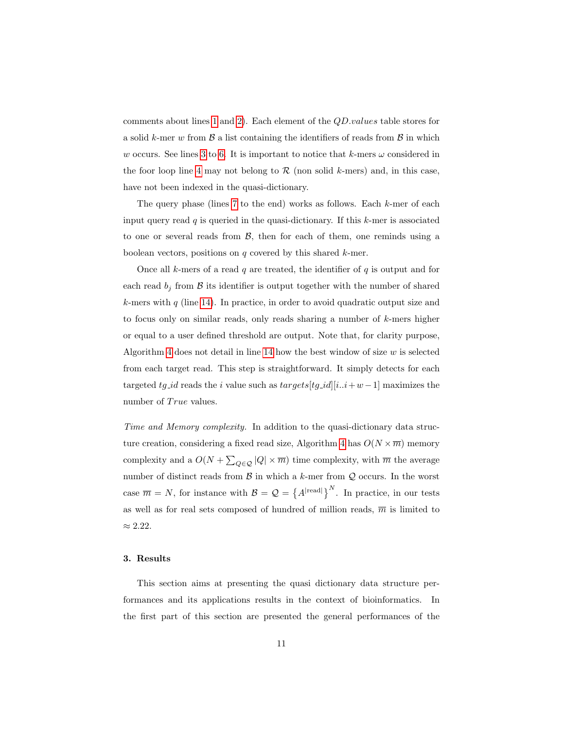comments about lines [1](#page-9-3) and [2\)](#page-9-4). Each element of the QD.values table stores for a solid k-mer w from  $\beta$  a list containing the identifiers of reads from  $\beta$  in which w occurs. See lines [3](#page-9-5) to [6.](#page-9-6) It is important to notice that k-mers  $\omega$  considered in the foor loop line [4](#page-9-7) may not belong to  $\mathcal R$  (non solid k-mers) and, in this case, have not been indexed in the quasi-dictionary.

The query phase (lines  $7$  to the end) works as follows. Each  $k$ -mer of each input query read  $q$  is queried in the quasi-dictionary. If this  $k$ -mer is associated to one or several reads from  $\mathcal{B}$ , then for each of them, one reminds using a boolean vectors, positions on  $q$  covered by this shared  $k$ -mer.

Once all  $k$ -mers of a read  $q$  are treated, the identifier of  $q$  is output and for each read  $b_j$  from  $\beta$  its identifier is output together with the number of shared  $k$ -mers with  $q$  (line [14\)](#page-9-9). In practice, in order to avoid quadratic output size and to focus only on similar reads, only reads sharing a number of k-mers higher or equal to a user defined threshold are output. Note that, for clarity purpose, Algorithm [4](#page-9-2) does not detail in line [14](#page-9-9) how the best window of size  $w$  is selected from each target read. This step is straightforward. It simply detects for each targeted tg\_id reads the i value such as  $targets[tg_id][i..i+w-1]$  maximizes the number of True values.

Time and Memory complexity. In addition to the quasi-dictionary data struc-ture creation, considering a fixed read size, Algorithm [4](#page-9-2) has  $O(N \times \overline{m})$  memory complexity and a  $O(N + \sum_{Q \in \mathcal{Q}} |Q| \times \overline{m})$  time complexity, with  $\overline{m}$  the average number of distinct reads from  $\mathcal B$  in which a k-mer from  $\mathcal Q$  occurs. In the worst case  $\overline{m} = N$ , for instance with  $\mathcal{B} = \mathcal{Q} = \left\{ A^{|\text{read}|} \right\}^N$ . In practice, in our tests as well as for real sets composed of hundred of million reads,  $\overline{m}$  is limited to  $\approx 2.22$ .

## 3. Results

This section aims at presenting the quasi dictionary data structure performances and its applications results in the context of bioinformatics. In the first part of this section are presented the general performances of the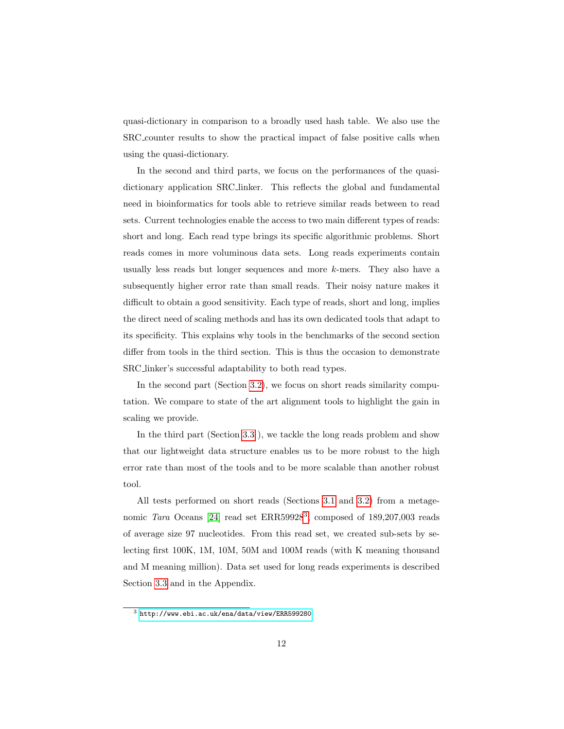quasi-dictionary in comparison to a broadly used hash table. We also use the SRC counter results to show the practical impact of false positive calls when using the quasi-dictionary.

In the second and third parts, we focus on the performances of the quasidictionary application SRC linker. This reflects the global and fundamental need in bioinformatics for tools able to retrieve similar reads between to read sets. Current technologies enable the access to two main different types of reads: short and long. Each read type brings its specific algorithmic problems. Short reads comes in more voluminous data sets. Long reads experiments contain usually less reads but longer sequences and more  $k$ -mers. They also have a subsequently higher error rate than small reads. Their noisy nature makes it difficult to obtain a good sensitivity. Each type of reads, short and long, implies the direct need of scaling methods and has its own dedicated tools that adapt to its specificity. This explains why tools in the benchmarks of the second section differ from tools in the third section. This is thus the occasion to demonstrate SRC linker's successful adaptability to both read types.

In the second part (Section [3.2\)](#page-14-0), we focus on short reads similarity computation. We compare to state of the art alignment tools to highlight the gain in scaling we provide.

In the third part (Section [3.3](#page-16-0) ), we tackle the long reads problem and show that our lightweight data structure enables us to be more robust to the high error rate than most of the tools and to be more scalable than another robust tool.

All tests performed on short reads (Sections [3.1](#page-12-0) and [3.2\)](#page-14-0) from a metage-nomic Tara Oceans [\[24\]](#page-25-0) read set ERR59928<sup>[3](#page-11-0)</sup>, composed of 189,207,003 reads of average size 97 nucleotides. From this read set, we created sub-sets by selecting first 100K, 1M, 10M, 50M and 100M reads (with K meaning thousand and M meaning million). Data set used for long reads experiments is described Section [3.3](#page-16-0) and in the Appendix.

<span id="page-11-0"></span> $^3$ <http://www.ebi.ac.uk/ena/data/view/ERR599280>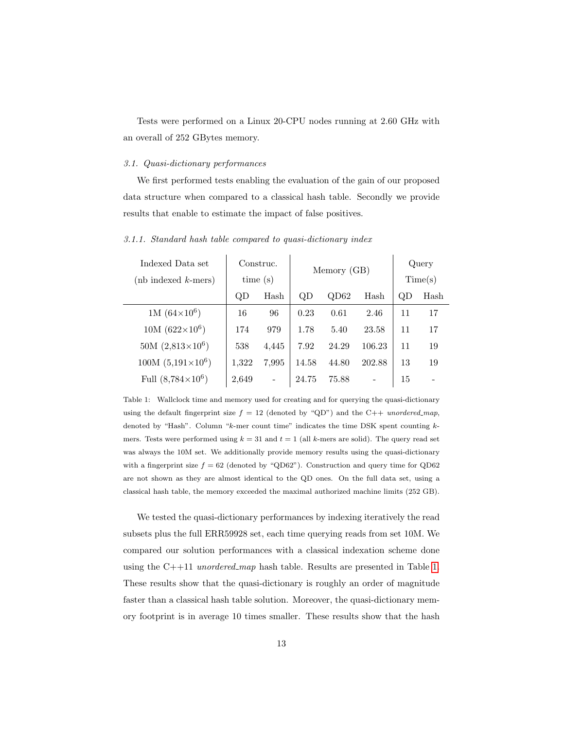Tests were performed on a Linux 20-CPU nodes running at 2.60 GHz with an overall of 252 GBytes memory.

# <span id="page-12-0"></span>3.1. Quasi-dictionary performances

We first performed tests enabling the evaluation of the gain of our proposed data structure when compared to a classical hash table. Secondly we provide results that enable to estimate the impact of false positives.

Indexed Data set  $(nb$  indexed  $k$ -mers) Construc. time (s) Memory (GB) Query Time(s) QD Hash QD QD62 Hash QD Hash 1M  $(64\times10^6)$ ) 16 96 0.23 0.61 2.46 11 17  $10M (622\times10^6)$ ) 174 979 1.78 5.40 23.58 11 17 50M  $(2,813\times10^6)$ ) 538 4,445 7.92 24.29 106.23 11 19  $100M (5,191\times10^{6})$ ) 1,322 7,995 14.58 44.80 202.88 13 19 Full  $(8,784\times10^{6})$ )  $\begin{array}{|c|c|c|c|c|c|c|c|} \hline 2,649 & - & 24.75 & 75.88 & - & 15 & - \ \hline \end{array}$ 

3.1.1. Standard hash table compared to quasi-dictionary index

<span id="page-12-1"></span>Table 1: Wallclock time and memory used for creating and for querying the quasi-dictionary using the default fingerprint size  $f = 12$  (denoted by "QD") and the C++ unordered map, denoted by "Hash". Column "k-mer count time" indicates the time DSK spent counting kmers. Tests were performed using  $k = 31$  and  $t = 1$  (all k-mers are solid). The query read set was always the 10M set. We additionally provide memory results using the quasi-dictionary with a fingerprint size  $f = 62$  (denoted by "QD62"). Construction and query time for QD62 are not shown as they are almost identical to the QD ones. On the full data set, using a classical hash table, the memory exceeded the maximal authorized machine limits (252 GB).

We tested the quasi-dictionary performances by indexing iteratively the read subsets plus the full ERR59928 set, each time querying reads from set 10M. We compared our solution performances with a classical indexation scheme done using the  $C++11$  unordered map hash table. Results are presented in Table [1.](#page-12-1) These results show that the quasi-dictionary is roughly an order of magnitude faster than a classical hash table solution. Moreover, the quasi-dictionary memory footprint is in average 10 times smaller. These results show that the hash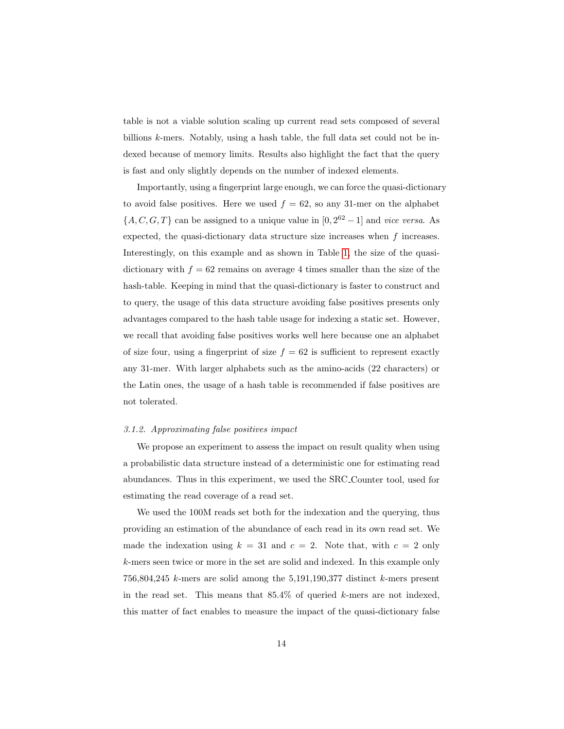table is not a viable solution scaling up current read sets composed of several billions k-mers. Notably, using a hash table, the full data set could not be indexed because of memory limits. Results also highlight the fact that the query is fast and only slightly depends on the number of indexed elements.

Importantly, using a fingerprint large enough, we can force the quasi-dictionary to avoid false positives. Here we used  $f = 62$ , so any 31-mer on the alphabet  $\{A, C, G, T\}$  can be assigned to a unique value in  $[0, 2^{62} - 1]$  and *vice versa*. As expected, the quasi-dictionary data structure size increases when  $f$  increases. Interestingly, on this example and as shown in Table [1,](#page-12-1) the size of the quasidictionary with  $f = 62$  remains on average 4 times smaller than the size of the hash-table. Keeping in mind that the quasi-dictionary is faster to construct and to query, the usage of this data structure avoiding false positives presents only advantages compared to the hash table usage for indexing a static set. However, we recall that avoiding false positives works well here because one an alphabet of size four, using a fingerprint of size  $f = 62$  is sufficient to represent exactly any 31-mer. With larger alphabets such as the amino-acids (22 characters) or the Latin ones, the usage of a hash table is recommended if false positives are not tolerated.

#### 3.1.2. Approximating false positives impact

We propose an experiment to assess the impact on result quality when using a probabilistic data structure instead of a deterministic one for estimating read abundances. Thus in this experiment, we used the SRC Counter tool, used for estimating the read coverage of a read set.

We used the 100M reads set both for the indexation and the querying, thus providing an estimation of the abundance of each read in its own read set. We made the indexation using  $k = 31$  and  $c = 2$ . Note that, with  $c = 2$  only k-mers seen twice or more in the set are solid and indexed. In this example only  $756,804,245$  k-mers are solid among the  $5,191,190,377$  distinct k-mers present in the read set. This means that  $85.4\%$  of queried k-mers are not indexed, this matter of fact enables to measure the impact of the quasi-dictionary false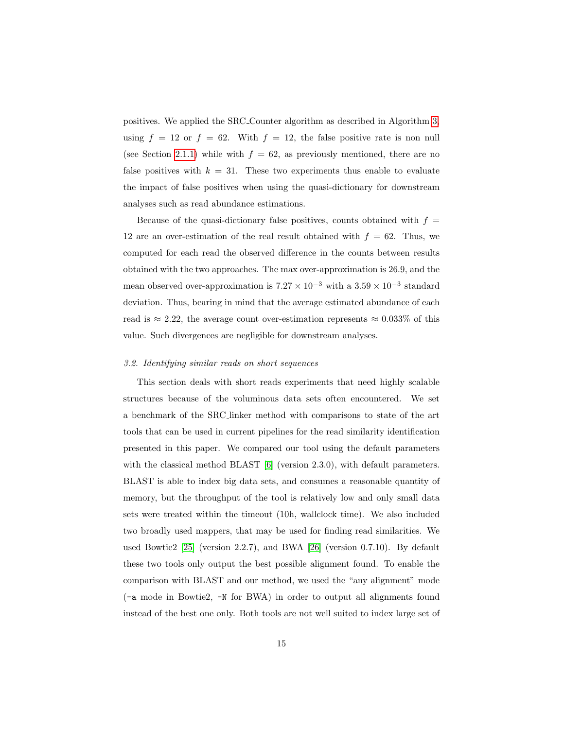positives. We applied the SRC Counter algorithm as described in Algorithm [3,](#page-8-0) using  $f = 12$  or  $f = 62$ . With  $f = 12$ , the false positive rate is non null (see Section [2.1.1\)](#page-3-0) while with  $f = 62$ , as previously mentioned, there are no false positives with  $k = 31$ . These two experiments thus enable to evaluate the impact of false positives when using the quasi-dictionary for downstream analyses such as read abundance estimations.

Because of the quasi-dictionary false positives, counts obtained with  $f =$ 12 are an over-estimation of the real result obtained with  $f = 62$ . Thus, we computed for each read the observed difference in the counts between results obtained with the two approaches. The max over-approximation is 26.9, and the mean observed over-approximation is  $7.27 \times 10^{-3}$  with a  $3.59 \times 10^{-3}$  standard deviation. Thus, bearing in mind that the average estimated abundance of each read is  $\approx 2.22$ , the average count over-estimation represents  $\approx 0.033\%$  of this value. Such divergences are negligible for downstream analyses.

# <span id="page-14-0"></span>3.2. Identifying similar reads on short sequences

This section deals with short reads experiments that need highly scalable structures because of the voluminous data sets often encountered. We set a benchmark of the SRC linker method with comparisons to state of the art tools that can be used in current pipelines for the read similarity identification presented in this paper. We compared our tool using the default parameters with the classical method BLAST [\[6\]](#page-22-4) (version 2.3.0), with default parameters. BLAST is able to index big data sets, and consumes a reasonable quantity of memory, but the throughput of the tool is relatively low and only small data sets were treated within the timeout (10h, wallclock time). We also included two broadly used mappers, that may be used for finding read similarities. We used Bowtie2 [\[25\]](#page-25-1) (version 2.2.7), and BWA [\[26\]](#page-25-2) (version 0.7.10). By default these two tools only output the best possible alignment found. To enable the comparison with BLAST and our method, we used the "any alignment" mode (-a mode in Bowtie2, -N for BWA) in order to output all alignments found instead of the best one only. Both tools are not well suited to index large set of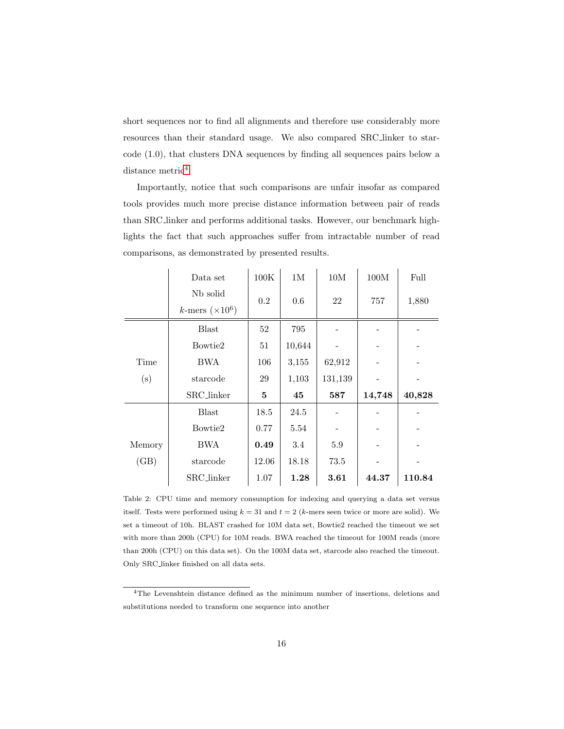short sequences nor to find all alignments and therefore use considerably more resources than their standard usage. We also compared SRC linker to starcode (1.0), that clusters DNA sequences by finding all sequences pairs below a  $distance$  metric<sup>[4](#page-15-0)</sup>.

Importantly, notice that such comparisons are unfair insofar as compared tools provides much more precise distance information between pair of reads than SRC linker and performs additional tasks. However, our benchmark highlights the fact that such approaches suffer from intractable number of read comparisons, as demonstrated by presented results.

|        | Data set               | 100K  | 1M     | 10M     | 100M   | Full   |
|--------|------------------------|-------|--------|---------|--------|--------|
|        | N <sub>b</sub> solid   | 0.2   | 0.6    | 22      | 757    | 1,880  |
|        | k-mers $(\times 10^6)$ |       |        |         |        |        |
|        | <b>Blast</b>           | 52    | 795    |         |        |        |
|        | Bowtie2                | 51    | 10,644 |         |        |        |
| Time   | BWA                    | 106   | 3,155  | 62,912  |        |        |
| (s)    | starcode               | 29    | 1,103  | 131,139 |        |        |
|        | SRC_linker             | 5     | 45     | 587     | 14,748 | 40,828 |
|        | <b>Blast</b>           | 18.5  | 24.5   |         |        |        |
|        | Bowtie2                | 0.77  | 5.54   |         |        |        |
| Memory | BWA                    | 0.49  | 3.4    | 5.9     |        |        |
| (GB)   | starcode               | 12.06 | 18.18  | 73.5    |        |        |
|        | SRC_linker             | 1.07  | 1.28   | 3.61    | 44.37  | 110.84 |

<span id="page-15-1"></span>Table 2: CPU time and memory consumption for indexing and querying a data set versus itself. Tests were performed using  $k = 31$  and  $t = 2$  (k-mers seen twice or more are solid). We set a timeout of 10h. BLAST crashed for 10M data set, Bowtie2 reached the timeout we set with more than 200h (CPU) for 10M reads. BWA reached the timeout for 100M reads (more than 200h (CPU) on this data set). On the 100M data set, starcode also reached the timeout. Only SRC linker finished on all data sets.

<span id="page-15-0"></span><sup>4</sup>The Levenshtein distance defined as the minimum number of insertions, deletions and substitutions needed to transform one sequence into another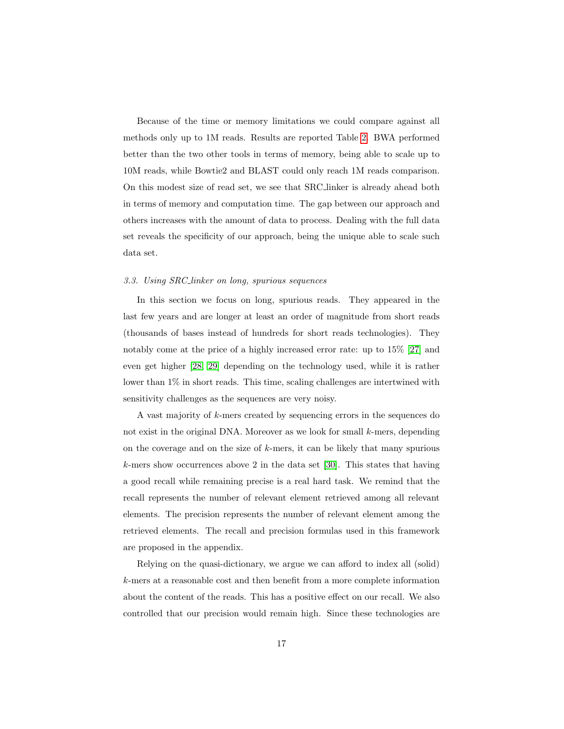Because of the time or memory limitations we could compare against all methods only up to 1M reads. Results are reported Table [2.](#page-15-1) BWA performed better than the two other tools in terms of memory, being able to scale up to 10M reads, while Bowtie2 and BLAST could only reach 1M reads comparison. On this modest size of read set, we see that SRC linker is already ahead both in terms of memory and computation time. The gap between our approach and others increases with the amount of data to process. Dealing with the full data set reveals the specificity of our approach, being the unique able to scale such data set.

#### <span id="page-16-0"></span>3.3. Using SRC linker on long, spurious sequences

In this section we focus on long, spurious reads. They appeared in the last few years and are longer at least an order of magnitude from short reads (thousands of bases instead of hundreds for short reads technologies). They notably come at the price of a highly increased error rate: up to 15% [\[27\]](#page-25-3) and even get higher [\[28,](#page-25-4) [29\]](#page-25-5) depending on the technology used, while it is rather lower than  $1\%$  in short reads. This time, scaling challenges are intertwined with sensitivity challenges as the sequences are very noisy.

A vast majority of k-mers created by sequencing errors in the sequences do not exist in the original DNA. Moreover as we look for small  $k$ -mers, depending on the coverage and on the size of  $k$ -mers, it can be likely that many spurious k-mers show occurrences above 2 in the data set [\[30\]](#page-25-6). This states that having a good recall while remaining precise is a real hard task. We remind that the recall represents the number of relevant element retrieved among all relevant elements. The precision represents the number of relevant element among the retrieved elements. The recall and precision formulas used in this framework are proposed in the appendix.

Relying on the quasi-dictionary, we argue we can afford to index all (solid) k-mers at a reasonable cost and then benefit from a more complete information about the content of the reads. This has a positive effect on our recall. We also controlled that our precision would remain high. Since these technologies are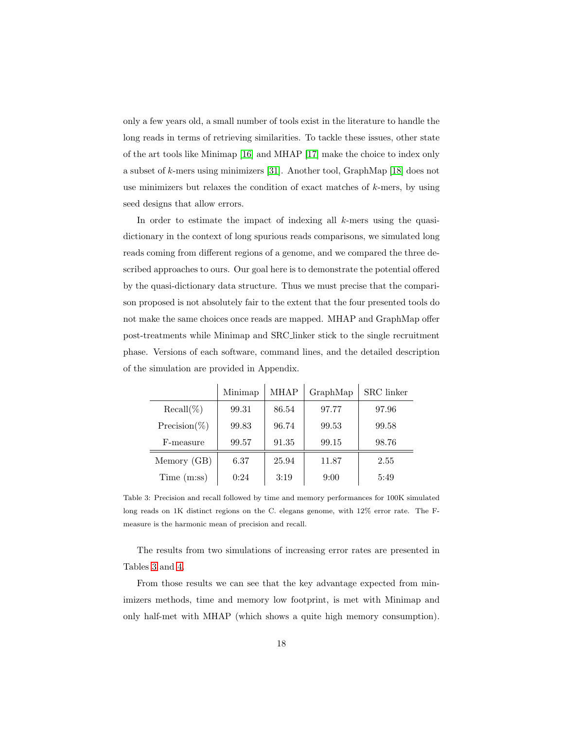only a few years old, a small number of tools exist in the literature to handle the long reads in terms of retrieving similarities. To tackle these issues, other state of the art tools like Minimap [\[16\]](#page-24-0) and MHAP [\[17\]](#page-24-1) make the choice to index only a subset of k-mers using minimizers [\[31\]](#page-25-7). Another tool, GraphMap [\[18\]](#page-24-2) does not use minimizers but relaxes the condition of exact matches of  $k$ -mers, by using seed designs that allow errors.

In order to estimate the impact of indexing all k-mers using the quasidictionary in the context of long spurious reads comparisons, we simulated long reads coming from different regions of a genome, and we compared the three described approaches to ours. Our goal here is to demonstrate the potential offered by the quasi-dictionary data structure. Thus we must precise that the comparison proposed is not absolutely fair to the extent that the four presented tools do not make the same choices once reads are mapped. MHAP and GraphMap offer post-treatments while Minimap and SRC linker stick to the single recruitment phase. Versions of each software, command lines, and the detailed description of the simulation are provided in Appendix.

|                 | Minimap | <b>MHAP</b> | GraphMap | SRC linker |
|-----------------|---------|-------------|----------|------------|
| $Recall(\%)$    | 99.31   | 86.54       | 97.77    | 97.96      |
| $Precision(\%)$ | 99.83   | 96.74       | 99.53    | 99.58      |
| F-measure       | 99.57   | 91.35       | 99.15    | 98.76      |
| Memory (GB)     | 6.37    | 25.94       | 11.87    | 2.55       |
| Time(m:ss)      | 0:24    | 3:19        | 9:00     | 5:49       |

<span id="page-17-0"></span>Table 3: Precision and recall followed by time and memory performances for 100K simulated long reads on 1K distinct regions on the C. elegans genome, with 12% error rate. The Fmeasure is the harmonic mean of precision and recall.

The results from two simulations of increasing error rates are presented in Tables [3](#page-17-0) and [4.](#page-18-0)

From those results we can see that the key advantage expected from minimizers methods, time and memory low footprint, is met with Minimap and only half-met with MHAP (which shows a quite high memory consumption).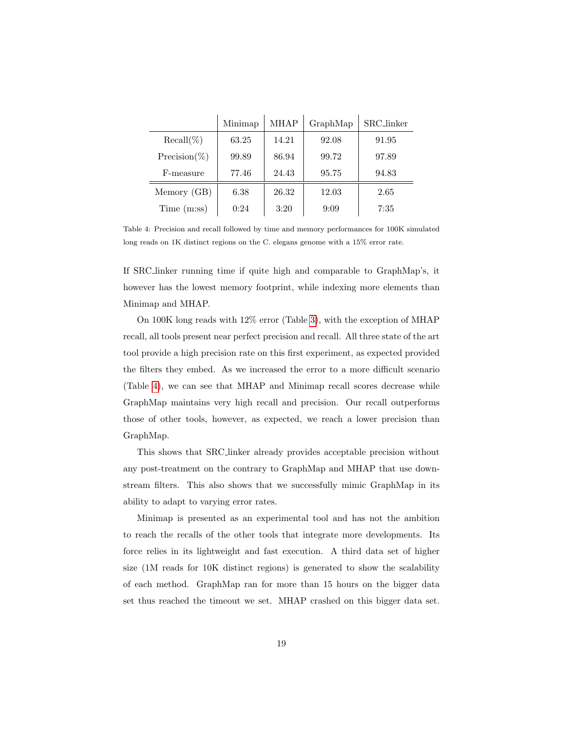|                 | Minimap | <b>MHAP</b> | GraphMap | SRC_linker |
|-----------------|---------|-------------|----------|------------|
| $Recall(\%)$    | 63.25   | 14.21       | 92.08    | 91.95      |
| $Precision(\%)$ | 99.89   | 86.94       | 99.72    | 97.89      |
| F-measure       | 77.46   | 24.43       | 95.75    | 94.83      |
| Memory (GB)     | 6.38    | 26.32       | 12.03    | 2.65       |
| Time(m:ss)      | 0:24    | 3:20        | 9:09     | 7:35       |

<span id="page-18-0"></span>Table 4: Precision and recall followed by time and memory performances for 100K simulated long reads on 1K distinct regions on the C. elegans genome with a 15% error rate.

If SRC linker running time if quite high and comparable to GraphMap's, it however has the lowest memory footprint, while indexing more elements than Minimap and MHAP.

On 100K long reads with 12% error (Table [3\)](#page-17-0), with the exception of MHAP recall, all tools present near perfect precision and recall. All three state of the art tool provide a high precision rate on this first experiment, as expected provided the filters they embed. As we increased the error to a more difficult scenario (Table [4\)](#page-18-0), we can see that MHAP and Minimap recall scores decrease while GraphMap maintains very high recall and precision. Our recall outperforms those of other tools, however, as expected, we reach a lower precision than GraphMap.

This shows that SRC linker already provides acceptable precision without any post-treatment on the contrary to GraphMap and MHAP that use downstream filters. This also shows that we successfully mimic GraphMap in its ability to adapt to varying error rates.

Minimap is presented as an experimental tool and has not the ambition to reach the recalls of the other tools that integrate more developments. Its force relies in its lightweight and fast execution. A third data set of higher size (1M reads for 10K distinct regions) is generated to show the scalability of each method. GraphMap ran for more than 15 hours on the bigger data set thus reached the timeout we set. MHAP crashed on this bigger data set.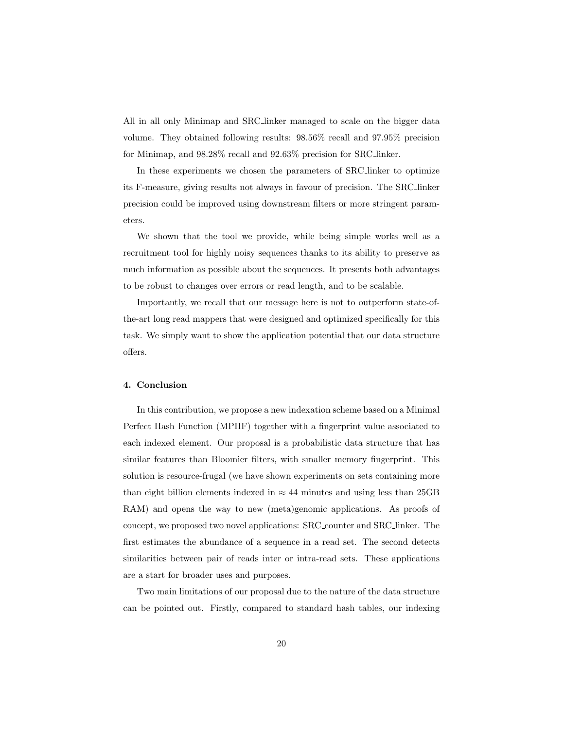All in all only Minimap and SRC linker managed to scale on the bigger data volume. They obtained following results: 98.56% recall and 97.95% precision for Minimap, and 98.28% recall and 92.63% precision for SRC linker.

In these experiments we chosen the parameters of SRC linker to optimize its F-measure, giving results not always in favour of precision. The SRC linker precision could be improved using downstream filters or more stringent parameters.

We shown that the tool we provide, while being simple works well as a recruitment tool for highly noisy sequences thanks to its ability to preserve as much information as possible about the sequences. It presents both advantages to be robust to changes over errors or read length, and to be scalable.

Importantly, we recall that our message here is not to outperform state-ofthe-art long read mappers that were designed and optimized specifically for this task. We simply want to show the application potential that our data structure offers.

### 4. Conclusion

In this contribution, we propose a new indexation scheme based on a Minimal Perfect Hash Function (MPHF) together with a fingerprint value associated to each indexed element. Our proposal is a probabilistic data structure that has similar features than Bloomier filters, with smaller memory fingerprint. This solution is resource-frugal (we have shown experiments on sets containing more than eight billion elements indexed in  $\approx 44$  minutes and using less than 25GB RAM) and opens the way to new (meta)genomic applications. As proofs of concept, we proposed two novel applications: SRC counter and SRC linker. The first estimates the abundance of a sequence in a read set. The second detects similarities between pair of reads inter or intra-read sets. These applications are a start for broader uses and purposes.

Two main limitations of our proposal due to the nature of the data structure can be pointed out. Firstly, compared to standard hash tables, our indexing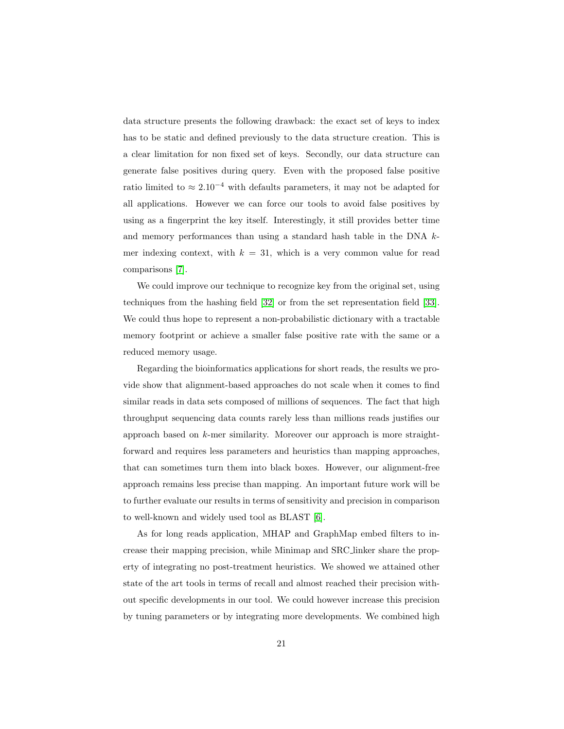data structure presents the following drawback: the exact set of keys to index has to be static and defined previously to the data structure creation. This is a clear limitation for non fixed set of keys. Secondly, our data structure can generate false positives during query. Even with the proposed false positive ratio limited to  $\approx 2.10^{-4}$  with defaults parameters, it may not be adapted for all applications. However we can force our tools to avoid false positives by using as a fingerprint the key itself. Interestingly, it still provides better time and memory performances than using a standard hash table in the DNA kmer indexing context, with  $k = 31$ , which is a very common value for read comparisons [\[7\]](#page-22-5).

We could improve our technique to recognize key from the original set, using techniques from the hashing field [\[32\]](#page-25-8) or from the set representation field [\[33\]](#page-26-0). We could thus hope to represent a non-probabilistic dictionary with a tractable memory footprint or achieve a smaller false positive rate with the same or a reduced memory usage.

Regarding the bioinformatics applications for short reads, the results we provide show that alignment-based approaches do not scale when it comes to find similar reads in data sets composed of millions of sequences. The fact that high throughput sequencing data counts rarely less than millions reads justifies our approach based on k-mer similarity. Moreover our approach is more straightforward and requires less parameters and heuristics than mapping approaches, that can sometimes turn them into black boxes. However, our alignment-free approach remains less precise than mapping. An important future work will be to further evaluate our results in terms of sensitivity and precision in comparison to well-known and widely used tool as BLAST [\[6\]](#page-22-4).

As for long reads application, MHAP and GraphMap embed filters to increase their mapping precision, while Minimap and SRC linker share the property of integrating no post-treatment heuristics. We showed we attained other state of the art tools in terms of recall and almost reached their precision without specific developments in our tool. We could however increase this precision by tuning parameters or by integrating more developments. We combined high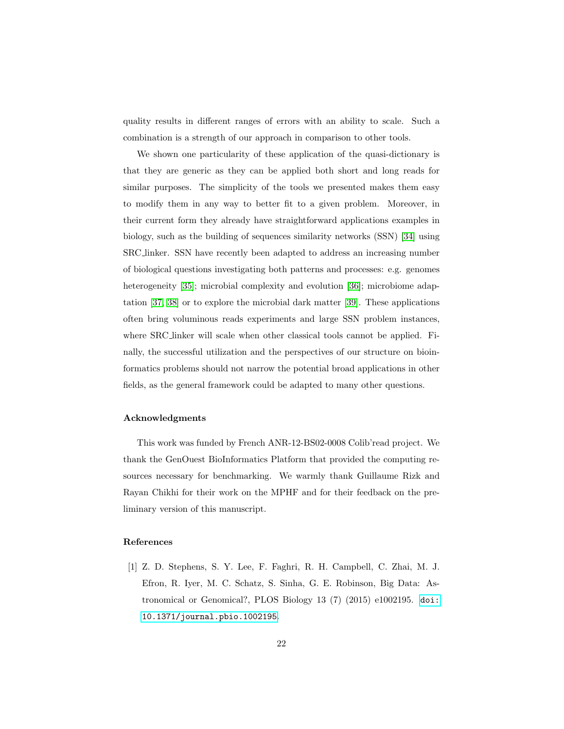quality results in different ranges of errors with an ability to scale. Such a combination is a strength of our approach in comparison to other tools.

We shown one particularity of these application of the quasi-dictionary is that they are generic as they can be applied both short and long reads for similar purposes. The simplicity of the tools we presented makes them easy to modify them in any way to better fit to a given problem. Moreover, in their current form they already have straightforward applications examples in biology, such as the building of sequences similarity networks (SSN) [\[34\]](#page-26-1) using SRC linker. SSN have recently been adapted to address an increasing number of biological questions investigating both patterns and processes: e.g. genomes heterogeneity [\[35\]](#page-26-2); microbial complexity and evolution [\[36\]](#page-26-3); microbiome adaptation [\[37,](#page-26-4) [38\]](#page-26-5) or to explore the microbial dark matter [\[39\]](#page-26-6). These applications often bring voluminous reads experiments and large SSN problem instances, where SRC linker will scale when other classical tools cannot be applied. Finally, the successful utilization and the perspectives of our structure on bioinformatics problems should not narrow the potential broad applications in other fields, as the general framework could be adapted to many other questions.

## Acknowledgments

This work was funded by French ANR-12-BS02-0008 Colib'read project. We thank the GenOuest BioInformatics Platform that provided the computing resources necessary for benchmarking. We warmly thank Guillaume Rizk and Rayan Chikhi for their work on the MPHF and for their feedback on the preliminary version of this manuscript.

## References

<span id="page-21-0"></span>[1] Z. D. Stephens, S. Y. Lee, F. Faghri, R. H. Campbell, C. Zhai, M. J. Efron, R. Iyer, M. C. Schatz, S. Sinha, G. E. Robinson, Big Data: Astronomical or Genomical?, PLOS Biology 13 (7) (2015) e1002195. [doi:](http://dx.doi.org/10.1371/journal.pbio.1002195) [10.1371/journal.pbio.1002195](http://dx.doi.org/10.1371/journal.pbio.1002195).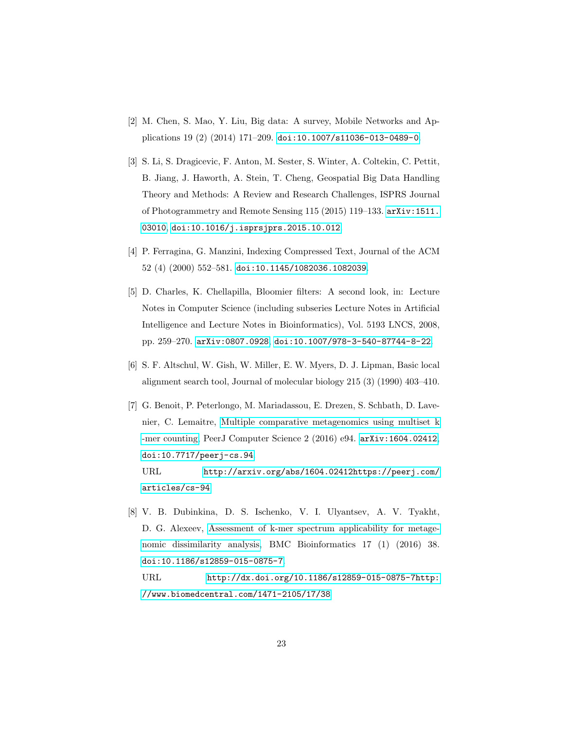- <span id="page-22-0"></span>[2] M. Chen, S. Mao, Y. Liu, Big data: A survey, Mobile Networks and Applications 19 (2) (2014) 171–209. [doi:10.1007/s11036-013-0489-0](http://dx.doi.org/10.1007/s11036-013-0489-0).
- <span id="page-22-1"></span>[3] S. Li, S. Dragicevic, F. Anton, M. Sester, S. Winter, A. Coltekin, C. Pettit, B. Jiang, J. Haworth, A. Stein, T. Cheng, Geospatial Big Data Handling Theory and Methods: A Review and Research Challenges, ISPRS Journal of Photogrammetry and Remote Sensing 115 (2015) 119–133. [arXiv:1511.](http://arxiv.org/abs/1511.03010) [03010](http://arxiv.org/abs/1511.03010), [doi:10.1016/j.isprsjprs.2015.10.012](http://dx.doi.org/10.1016/j.isprsjprs.2015.10.012).
- <span id="page-22-2"></span>[4] P. Ferragina, G. Manzini, Indexing Compressed Text, Journal of the ACM 52 (4) (2000) 552–581. [doi:10.1145/1082036.1082039](http://dx.doi.org/10.1145/1082036.1082039).
- <span id="page-22-3"></span>[5] D. Charles, K. Chellapilla, Bloomier filters: A second look, in: Lecture Notes in Computer Science (including subseries Lecture Notes in Artificial Intelligence and Lecture Notes in Bioinformatics), Vol. 5193 LNCS, 2008, pp. 259–270. [arXiv:0807.0928](http://arxiv.org/abs/0807.0928), [doi:10.1007/978-3-540-87744-8-22](http://dx.doi.org/10.1007/978-3-540-87744-8-22).
- <span id="page-22-4"></span>[6] S. F. Altschul, W. Gish, W. Miller, E. W. Myers, D. J. Lipman, Basic local alignment search tool, Journal of molecular biology 215 (3) (1990) 403–410.
- <span id="page-22-5"></span>[7] G. Benoit, P. Peterlongo, M. Mariadassou, E. Drezen, S. Schbath, D. Lavenier, C. Lemaitre, [Multiple comparative metagenomics using multiset k](http://arxiv.org/abs/1604.02412 https://peerj.com/articles/cs-94) [-mer counting,](http://arxiv.org/abs/1604.02412 https://peerj.com/articles/cs-94) PeerJ Computer Science 2 (2016) e94. [arXiv:1604.02412](http://arxiv.org/abs/1604.02412), [doi:10.7717/peerj-cs.94](http://dx.doi.org/10.7717/peerj-cs.94). URL [http://arxiv.org/abs/1604.02412https://peerj.com/](http://arxiv.org/abs/1604.02412 https://peerj.com/articles/cs-94)

[articles/cs-94](http://arxiv.org/abs/1604.02412 https://peerj.com/articles/cs-94)

<span id="page-22-6"></span>[8] V. B. Dubinkina, D. S. Ischenko, V. I. Ulyantsev, A. V. Tyakht, D. G. Alexeev, [Assessment of k-mer spectrum applicability for metage](http://dx.doi.org/10.1186/s12859-015-0875-7 http://www.biomedcentral.com/1471-2105/17/38)[nomic dissimilarity analysis,](http://dx.doi.org/10.1186/s12859-015-0875-7 http://www.biomedcentral.com/1471-2105/17/38) BMC Bioinformatics 17 (1) (2016) 38. [doi:10.1186/s12859-015-0875-7](http://dx.doi.org/10.1186/s12859-015-0875-7).

URL [http://dx.doi.org/10.1186/s12859-015-0875-7http:](http://dx.doi.org/10.1186/s12859-015-0875-7 http://www.biomedcentral.com/1471-2105/17/38) [//www.biomedcentral.com/1471-2105/17/38](http://dx.doi.org/10.1186/s12859-015-0875-7 http://www.biomedcentral.com/1471-2105/17/38)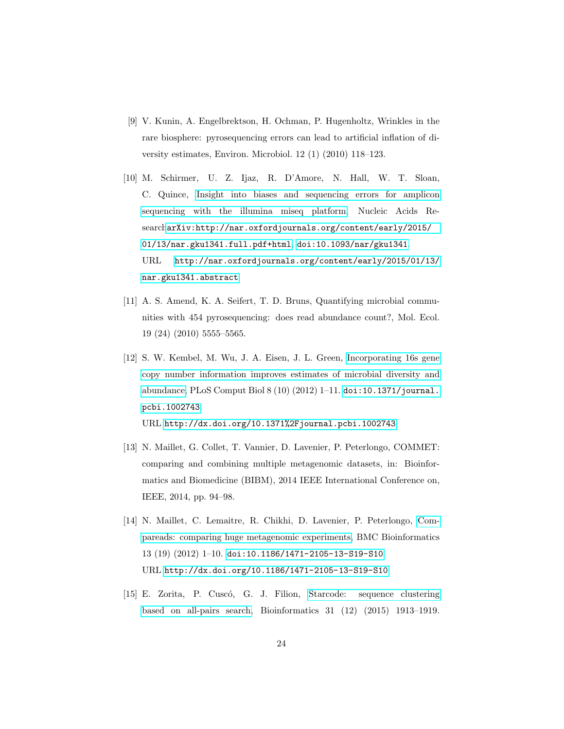- <span id="page-23-0"></span>[9] V. Kunin, A. Engelbrektson, H. Ochman, P. Hugenholtz, Wrinkles in the rare biosphere: pyrosequencing errors can lead to artificial inflation of diversity estimates, Environ. Microbiol. 12 (1) (2010) 118–123.
- <span id="page-23-1"></span>[10] M. Schirmer, U. Z. Ijaz, R. D'Amore, N. Hall, W. T. Sloan, C. Quince, [Insight into biases and sequencing errors for amplicon](http://nar.oxfordjournals.org/content/early/2015/01/13/nar.gku1341.abstract) [sequencing with the illumina miseq platform,](http://nar.oxfordjournals.org/content/early/2015/01/13/nar.gku1341.abstract) Nucleic Acids Research[arXiv:http://nar.oxfordjournals.org/content/early/2015/](http://arxiv.org/abs/http://nar.oxfordjournals.org/content/early/2015/01/13/nar.gku1341.full.pdf+html) [01/13/nar.gku1341.full.pdf+html](http://arxiv.org/abs/http://nar.oxfordjournals.org/content/early/2015/01/13/nar.gku1341.full.pdf+html), [doi:10.1093/nar/gku1341](http://dx.doi.org/10.1093/nar/gku1341). URL [http://nar.oxfordjournals.org/content/early/2015/01/13/](http://nar.oxfordjournals.org/content/early/2015/01/13/nar.gku1341.abstract) [nar.gku1341.abstract](http://nar.oxfordjournals.org/content/early/2015/01/13/nar.gku1341.abstract)
- <span id="page-23-2"></span>[11] A. S. Amend, K. A. Seifert, T. D. Bruns, Quantifying microbial communities with 454 pyrosequencing: does read abundance count?, Mol. Ecol. 19 (24) (2010) 5555–5565.
- <span id="page-23-3"></span>[12] S. W. Kembel, M. Wu, J. A. Eisen, J. L. Green, [Incorporating 16s gene](http://dx.doi.org/10.1371%2Fjournal.pcbi.1002743) [copy number information improves estimates of microbial diversity and](http://dx.doi.org/10.1371%2Fjournal.pcbi.1002743) [abundance,](http://dx.doi.org/10.1371%2Fjournal.pcbi.1002743) PLoS Comput Biol 8 (10) (2012) 1–11. [doi:10.1371/journal.](http://dx.doi.org/10.1371/journal.pcbi.1002743) [pcbi.1002743](http://dx.doi.org/10.1371/journal.pcbi.1002743). URL <http://dx.doi.org/10.1371%2Fjournal.pcbi.1002743>
- <span id="page-23-4"></span>[13] N. Maillet, G. Collet, T. Vannier, D. Lavenier, P. Peterlongo, COMMET: comparing and combining multiple metagenomic datasets, in: Bioinformatics and Biomedicine (BIBM), 2014 IEEE International Conference on, IEEE, 2014, pp. 94–98.
- <span id="page-23-5"></span>[14] N. Maillet, C. Lemaitre, R. Chikhi, D. Lavenier, P. Peterlongo, [Com](http://dx.doi.org/10.1186/1471-2105-13-S19-S10)[pareads: comparing huge metagenomic experiments,](http://dx.doi.org/10.1186/1471-2105-13-S19-S10) BMC Bioinformatics 13 (19) (2012) 1–10. [doi:10.1186/1471-2105-13-S19-S10](http://dx.doi.org/10.1186/1471-2105-13-S19-S10). URL <http://dx.doi.org/10.1186/1471-2105-13-S19-S10>
- <span id="page-23-6"></span>[15] E. Zorita, P. Cuscó, G. J. Filion, [Starcode: sequence clustering](http://bioinformatics.oxfordjournals.org/lookup/doi/10.1093/bioinformatics/btv053) [based on all-pairs search,](http://bioinformatics.oxfordjournals.org/lookup/doi/10.1093/bioinformatics/btv053) Bioinformatics 31 (12) (2015) 1913–1919.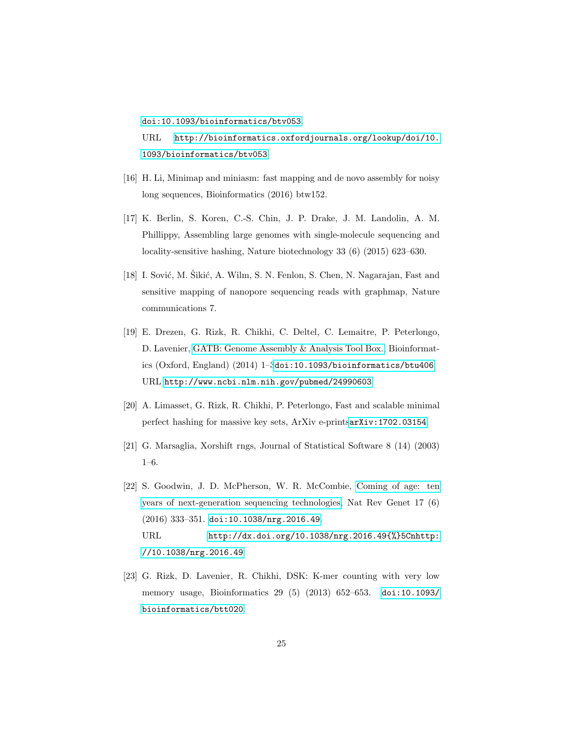[doi:10.1093/bioinformatics/btv053](http://dx.doi.org/10.1093/bioinformatics/btv053). URL [http://bioinformatics.oxfordjournals.org/lookup/doi/10.](http://bioinformatics.oxfordjournals.org/lookup/doi/10.1093/bioinformatics/btv053) [1093/bioinformatics/btv053](http://bioinformatics.oxfordjournals.org/lookup/doi/10.1093/bioinformatics/btv053)

- <span id="page-24-0"></span>[16] H. Li, Minimap and miniasm: fast mapping and de novo assembly for noisy long sequences, Bioinformatics (2016) btw152.
- <span id="page-24-1"></span>[17] K. Berlin, S. Koren, C.-S. Chin, J. P. Drake, J. M. Landolin, A. M. Phillippy, Assembling large genomes with single-molecule sequencing and locality-sensitive hashing, Nature biotechnology 33 (6) (2015) 623–630.
- <span id="page-24-2"></span>[18] I. Sović, M. Sikić, A. Wilm, S. N. Fenlon, S. Chen, N. Nagarajan, Fast and sensitive mapping of nanopore sequencing reads with graphmap, Nature communications 7.
- <span id="page-24-3"></span>[19] E. Drezen, G. Rizk, R. Chikhi, C. Deltel, C. Lemaitre, P. Peterlongo, D. Lavenier, [GATB: Genome Assembly & Analysis Tool Box.,](http://www.ncbi.nlm.nih.gov/pubmed/24990603) Bioinformatics (Oxford, England) (2014) 1–3[doi:10.1093/bioinformatics/btu406](http://dx.doi.org/10.1093/bioinformatics/btu406). URL <http://www.ncbi.nlm.nih.gov/pubmed/24990603>
- <span id="page-24-4"></span>[20] A. Limasset, G. Rizk, R. Chikhi, P. Peterlongo, Fast and scalable minimal perfect hashing for massive key sets, ArXiv e-prints[arXiv:1702.03154](http://arxiv.org/abs/1702.03154).
- <span id="page-24-5"></span>[21] G. Marsaglia, Xorshift rngs, Journal of Statistical Software 8 (14) (2003) 1–6.
- <span id="page-24-6"></span>[22] S. Goodwin, J. D. McPherson, W. R. McCombie, [Coming of age: ten](http://dx.doi.org/10.1038/nrg.2016.49{%}5Cnhttp://10.1038/nrg.2016.49) [years of next-generation sequencing technologies,](http://dx.doi.org/10.1038/nrg.2016.49{%}5Cnhttp://10.1038/nrg.2016.49) Nat Rev Genet 17 (6) (2016) 333–351. [doi:10.1038/nrg.2016.49](http://dx.doi.org/10.1038/nrg.2016.49). URL [http://dx.doi.org/10.1038/nrg.2016.49{%}5Cnhttp:](http://dx.doi.org/10.1038/nrg.2016.49{%}5Cnhttp://10.1038/nrg.2016.49) [//10.1038/nrg.2016.49](http://dx.doi.org/10.1038/nrg.2016.49{%}5Cnhttp://10.1038/nrg.2016.49)
- <span id="page-24-7"></span>[23] G. Rizk, D. Lavenier, R. Chikhi, DSK: K-mer counting with very low memory usage, Bioinformatics 29 (5) (2013) 652–653. [doi:10.1093/](http://dx.doi.org/10.1093/bioinformatics/btt020) [bioinformatics/btt020](http://dx.doi.org/10.1093/bioinformatics/btt020).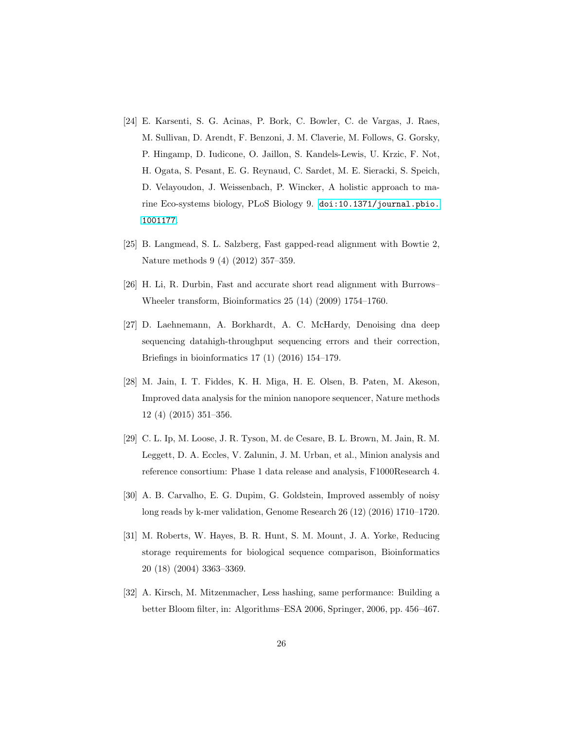- <span id="page-25-0"></span>[24] E. Karsenti, S. G. Acinas, P. Bork, C. Bowler, C. de Vargas, J. Raes, M. Sullivan, D. Arendt, F. Benzoni, J. M. Claverie, M. Follows, G. Gorsky, P. Hingamp, D. Iudicone, O. Jaillon, S. Kandels-Lewis, U. Krzic, F. Not, H. Ogata, S. Pesant, E. G. Reynaud, C. Sardet, M. E. Sieracki, S. Speich, D. Velayoudon, J. Weissenbach, P. Wincker, A holistic approach to marine Eco-systems biology, PLoS Biology 9. [doi:10.1371/journal.pbio.](http://dx.doi.org/10.1371/journal.pbio.1001177) [1001177](http://dx.doi.org/10.1371/journal.pbio.1001177).
- <span id="page-25-1"></span>[25] B. Langmead, S. L. Salzberg, Fast gapped-read alignment with Bowtie 2, Nature methods 9 (4) (2012) 357–359.
- <span id="page-25-2"></span>[26] H. Li, R. Durbin, Fast and accurate short read alignment with Burrows– Wheeler transform, Bioinformatics 25 (14) (2009) 1754–1760.
- <span id="page-25-3"></span>[27] D. Laehnemann, A. Borkhardt, A. C. McHardy, Denoising dna deep sequencing datahigh-throughput sequencing errors and their correction, Briefings in bioinformatics 17 (1) (2016) 154–179.
- <span id="page-25-4"></span>[28] M. Jain, I. T. Fiddes, K. H. Miga, H. E. Olsen, B. Paten, M. Akeson, Improved data analysis for the minion nanopore sequencer, Nature methods 12 (4) (2015) 351–356.
- <span id="page-25-5"></span>[29] C. L. Ip, M. Loose, J. R. Tyson, M. de Cesare, B. L. Brown, M. Jain, R. M. Leggett, D. A. Eccles, V. Zalunin, J. M. Urban, et al., Minion analysis and reference consortium: Phase 1 data release and analysis, F1000Research 4.
- <span id="page-25-6"></span>[30] A. B. Carvalho, E. G. Dupim, G. Goldstein, Improved assembly of noisy long reads by k-mer validation, Genome Research 26 (12) (2016) 1710–1720.
- <span id="page-25-7"></span>[31] M. Roberts, W. Hayes, B. R. Hunt, S. M. Mount, J. A. Yorke, Reducing storage requirements for biological sequence comparison, Bioinformatics 20 (18) (2004) 3363–3369.
- <span id="page-25-8"></span>[32] A. Kirsch, M. Mitzenmacher, Less hashing, same performance: Building a better Bloom filter, in: Algorithms–ESA 2006, Springer, 2006, pp. 456–467.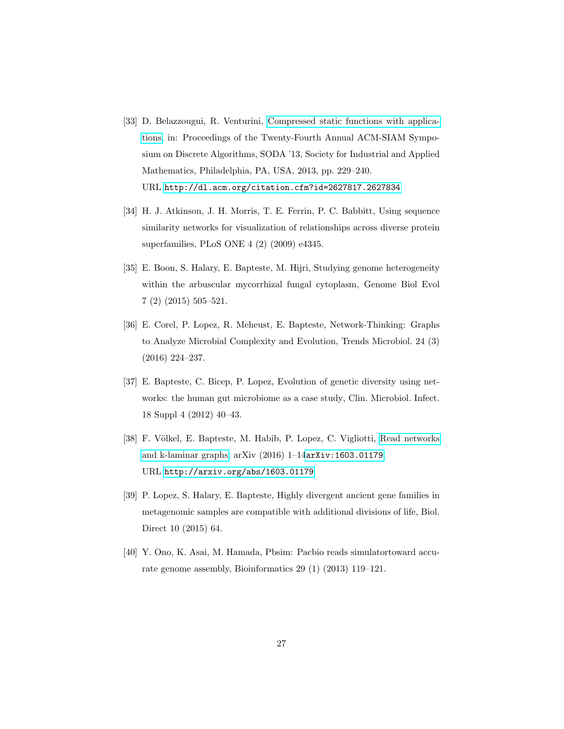- <span id="page-26-0"></span>[33] D. Belazzougui, R. Venturini, [Compressed static functions with applica](http://dl.acm.org/citation.cfm?id=2627817.2627834)[tions,](http://dl.acm.org/citation.cfm?id=2627817.2627834) in: Proceedings of the Twenty-Fourth Annual ACM-SIAM Symposium on Discrete Algorithms, SODA '13, Society for Industrial and Applied Mathematics, Philadelphia, PA, USA, 2013, pp. 229–240. URL <http://dl.acm.org/citation.cfm?id=2627817.2627834>
- <span id="page-26-1"></span>[34] H. J. Atkinson, J. H. Morris, T. E. Ferrin, P. C. Babbitt, Using sequence similarity networks for visualization of relationships across diverse protein superfamilies, PLoS ONE 4 (2) (2009) e4345.
- <span id="page-26-2"></span>[35] E. Boon, S. Halary, E. Bapteste, M. Hijri, Studying genome heterogeneity within the arbuscular mycorrhizal fungal cytoplasm, Genome Biol Evol 7 (2) (2015) 505–521.
- <span id="page-26-3"></span>[36] E. Corel, P. Lopez, R. Meheust, E. Bapteste, Network-Thinking: Graphs to Analyze Microbial Complexity and Evolution, Trends Microbiol. 24 (3) (2016) 224–237.
- <span id="page-26-4"></span>[37] E. Bapteste, C. Bicep, P. Lopez, Evolution of genetic diversity using networks: the human gut microbiome as a case study, Clin. Microbiol. Infect. 18 Suppl 4 (2012) 40–43.
- <span id="page-26-5"></span>[38] F. Völkel, E. Bapteste, M. Habib, P. Lopez, C. Vigliotti, [Read networks](http://arxiv.org/abs/1603.01179) [and k-laminar graphs,](http://arxiv.org/abs/1603.01179) arXiv (2016) 1–14[arXiv:1603.01179](http://arxiv.org/abs/1603.01179). URL <http://arxiv.org/abs/1603.01179>
- <span id="page-26-6"></span>[39] P. Lopez, S. Halary, E. Bapteste, Highly divergent ancient gene families in metagenomic samples are compatible with additional divisions of life, Biol. Direct 10 (2015) 64.
- <span id="page-26-7"></span>[40] Y. Ono, K. Asai, M. Hamada, Pbsim: Pacbio reads simulatortoward accurate genome assembly, Bioinformatics 29 (1) (2013) 119–121.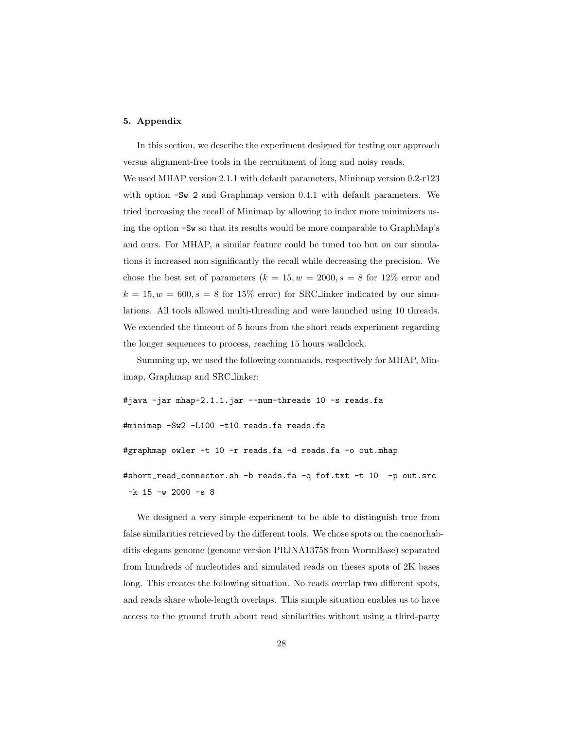# 5. Appendix

In this section, we describe the experiment designed for testing our approach versus alignment-free tools in the recruitment of long and noisy reads.

We used MHAP version 2.1.1 with default parameters, Minimap version 0.2-r123 with option  $-Sw$  2 and Graphmap version 0.4.1 with default parameters. We tried increasing the recall of Minimap by allowing to index more minimizers using the option -Sw so that its results would be more comparable to GraphMap's and ours. For MHAP, a similar feature could be tuned too but on our simulations it increased non significantly the recall while decreasing the precision. We chose the best set of parameters  $(k = 15, w = 2000, s = 8$  for 12\% error and  $k = 15, w = 600, s = 8$  for 15% error) for SRC linker indicated by our simulations. All tools allowed multi-threading and were launched using 10 threads. We extended the timeout of 5 hours from the short reads experiment regarding the longer sequences to process, reaching 15 hours wallclock.

Summing up, we used the following commands, respectively for MHAP, Minimap, Graphmap and SRC linker:

#java -jar mhap-2.1.1.jar --num-threads 10 -s reads.fa #minimap -Sw2 -L100 -t10 reads.fa reads.fa #graphmap owler -t 10 -r reads.fa -d reads.fa -o out.mhap #short\_read\_connector.sh -b reads.fa -q fof.txt -t 10 -p out.src  $-k$  15  $-w$  2000  $-s$  8

We designed a very simple experiment to be able to distinguish true from false similarities retrieved by the different tools. We chose spots on the caenorhabditis elegans genome (genome version PRJNA13758 from WormBase) separated from hundreds of nucleotides and simulated reads on theses spots of 2K bases long. This creates the following situation. No reads overlap two different spots, and reads share whole-length overlaps. This simple situation enables us to have access to the ground truth about read similarities without using a third-party